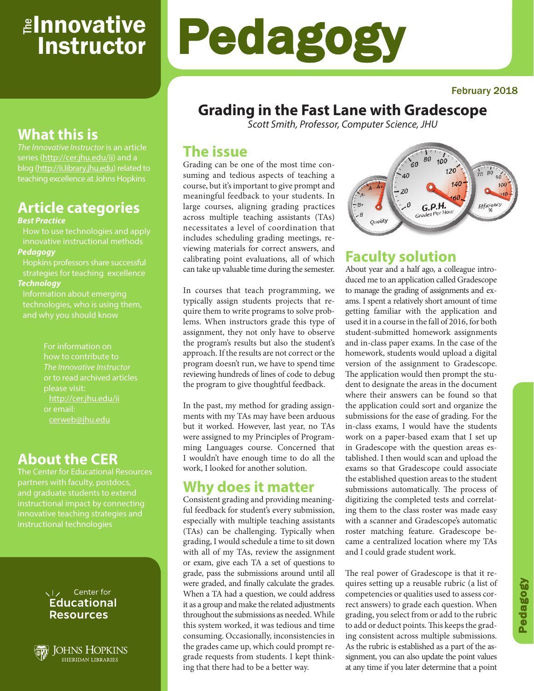## **Innovative** Instructor e<br>آ

#### February 2018

# **Grading in the Fast Lane with Gradescope**

Pedagogy

*Scott Smith, Professor, Computer Science, JHU*

## **The issue**

Grading can be one of the most time consuming and tedious aspects of teaching a course, but it's important to give prompt and meaningful feedback to your students. In large courses, aligning grading practices across multiple teaching assistants (TAs) necessitates a level of coordination that includes scheduling grading meetings, reviewing materials for correct answers, and calibrating point evaluations, all of which can take up valuable time during the semester.

In courses that teach programming, we typically assign students projects that require them to write programs to solve problems. When instructors grade this type of assignment, they not only have to observe the program's results but also the student's approach. If the results are not correct or the program doesn't run, we have to spend time reviewing hundreds of lines of code to debug the program to give thoughtful feedback.

In the past, my method for grading assignments with my TAs may have been arduous but it worked. However, last year, no TAs were assigned to my Principles of Programming Languages course. Concerned that I wouldn't have enough time to do all the work, I looked for another solution.

## **Why does it matter**

Consistent grading and providing meaningful feedback for student's every submission, especially with multiple teaching assistants (TAs) can be challenging. Typically when grading, I would schedule a time to sit down with all of my TAs, review the assignment or exam, give each TA a set of questions to grade, pass the submissions around until all were graded, and finally calculate the grades. When a TA had a question, we could address it as a group and make the related adjustments throughout the submissions as needed. While this system worked, it was tedious and time consuming. Occasionally, inconsistencies in the grades came up, which could prompt regrade requests from students. I kept thinking that there had to be a better way.



# **Faculty solution**

About year and a half ago, a colleague introduced me to an application called Gradescope to manage the grading of assignments and exams. I spent a relatively short amount of time getting familiar with the application and used it in a course in the fall of 2016, for both student-submitted homework assignments and in-class paper exams. In the case of the homework, students would upload a digital version of the assignment to Gradescope. The application would then prompt the student to designate the areas in the document where their answers can be found so that the application could sort and organize the submissions for the ease of grading. For the in-class exams, I would have the students work on a paper-based exam that I set up in Gradescope with the question areas established. I then would scan and upload the exams so that Gradescope could associate the established question areas to the student submissions automatically. The process of digitizing the completed tests and correlating them to the class roster was made easy with a scanner and Gradescope's automatic roster matching feature. Gradescope became a centralized location where my TAs and I could grade student work.

The real power of Gradescope is that it requires setting up a reusable rubric (a list of competencies or qualities used to assess correct answers) to grade each question. When grading, you select from or add to the rubric to add or deduct points. This keeps the grading consistent across multiple submissions. As the rubric is established as a part of the assignment, you can also update the point values at any time if you later determine that a point

# **What this is**

*The Innovative Instructor* is an article series (http://cer.jhu.edu/ii) and a blog (http://ii.library.jhu.edu) related to teaching excellence at Johns Hopkins

## **Article categories**

#### *Best Practice*

How to use technologies and apply innovative instructional methods *Pedagogy*

Hopkins professors share successful strategies for teaching excellence *Technology*

Information about emerging technologies, who is using them,

> For information on how to contribute to *The Innovative Instructor* or to read archived articles http://cer.jhu.edu/ii or email: cerweb@jhu.edu

## **About the CER**

The Center for Educational Resources partners with faculty, postdocs, and graduate students to extend innovative teaching strategies and instructional technologies